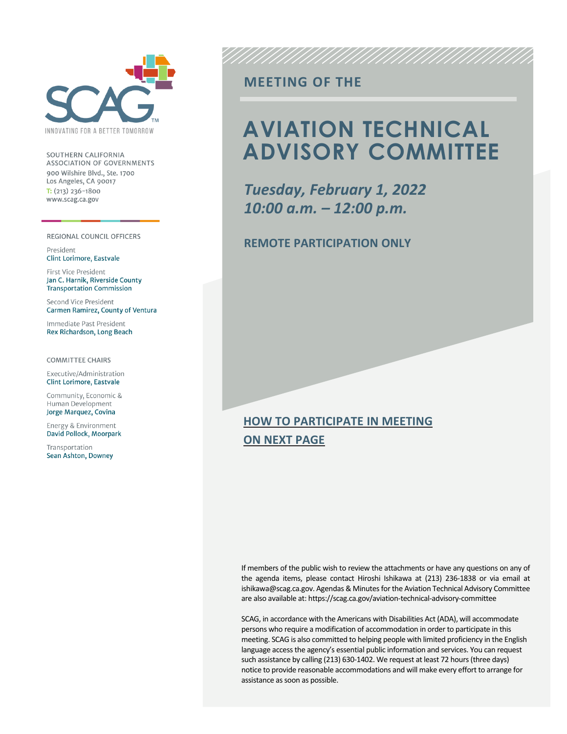

SOUTHERN CALIFORNIA ASSOCIATION OF GOVERNMENTS 900 Wilshire Blvd., Ste. 1700 Los Angeles, CA 90017  $T: (213)$  236-1800 www.scag.ca.gov

REGIONAL COUNCIL OFFICERS

President Clint Lorimore, Eastvale

First Vice President Jan C. Harnik, Riverside County **Transportation Commission** 

Second Vice President Carmen Ramirez, County of Ventura

Immediate Past President Rex Richardson, Long Beach

**COMMITTEE CHAIRS** 

Executive/Administration **Clint Lorimore, Eastvale** 

Community, Economic & Human Development Jorge Marquez, Covina

Energy & Environment David Pollock, Moorpark

Transportation Sean Ashton, Downey

## **MEETING OF THE**

## **AVIATION TECHNICAL ADVISORY COMMITTEE**

*Tuesday, February 1, 2022 10:00 a.m. – 12:00 p.m.*

### **REMOTE PARTICIPATION ONLY**

## **HOW TO PARTICIPATE IN MEETING ON NEXT PAGE**

If members of the public wish to review the attachments or have any questions on any of the agenda items, please contact Hiroshi Ishikawa at (213) 236-1838 or via email at ishikawa@scag.ca.gov. Agendas & Minutes for the Aviation Technical Advisory Committee are also available at: https://scag.ca.gov/aviation-technical-advisory-committee

SCAG, in accordance with the Americans with Disabilities Act (ADA), will accommodate persons who require a modification of accommodation in order to participate in this meeting. SCAG is also committed to helping people with limited proficiency in the English language access the agency's essential public information and services. You can request such assistance by calling (213) 630-1402. We request at least 72 hours (three days) notice to provide reasonable accommodations and will make every effort to arrange for assistance as soon as possible.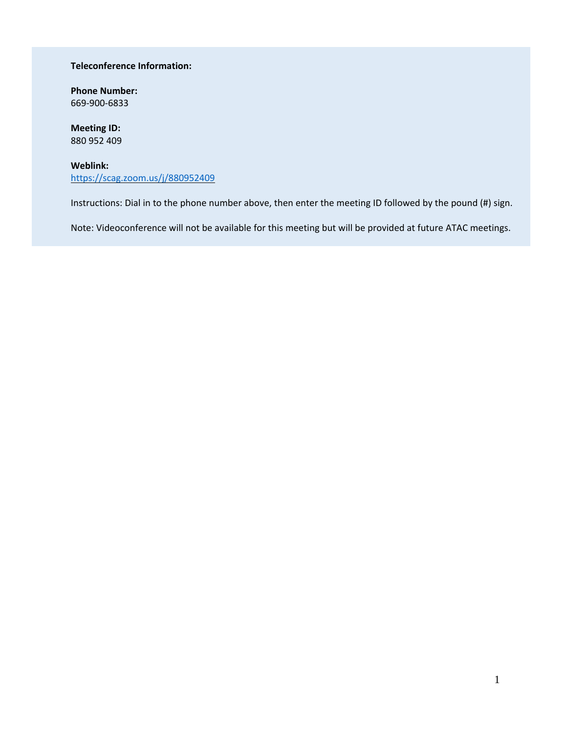#### **Teleconference Information:**

**Phone Number:** 669-900-6833

**Meeting ID:** 880 952 409

**Weblink:** <https://scag.zoom.us/j/880952409>

Instructions: Dial in to the phone number above, then enter the meeting ID followed by the pound (#) sign.

Note: Videoconference will not be available for this meeting but will be provided at future ATAC meetings.